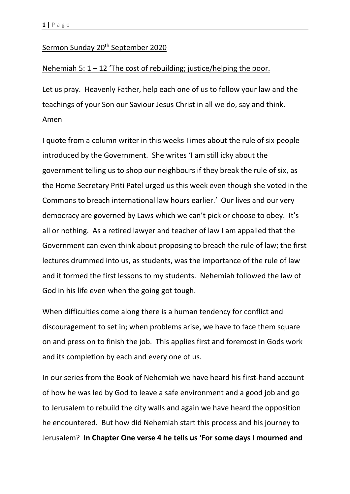## Sermon Sunday 20<sup>th</sup> September 2020

## Nehemiah 5:  $1 - 12$  'The cost of rebuilding; justice/helping the poor.

Let us pray. Heavenly Father, help each one of us to follow your law and the teachings of your Son our Saviour Jesus Christ in all we do, say and think. Amen

I quote from a column writer in this weeks Times about the rule of six people introduced by the Government. She writes 'I am still icky about the government telling us to shop our neighbours if they break the rule of six, as the Home Secretary Priti Patel urged us this week even though she voted in the Commons to breach international law hours earlier.' Our lives and our very democracy are governed by Laws which we can't pick or choose to obey. It's all or nothing. As a retired lawyer and teacher of law I am appalled that the Government can even think about proposing to breach the rule of law; the first lectures drummed into us, as students, was the importance of the rule of law and it formed the first lessons to my students. Nehemiah followed the law of God in his life even when the going got tough.

When difficulties come along there is a human tendency for conflict and discouragement to set in; when problems arise, we have to face them square on and press on to finish the job. This applies first and foremost in Gods work and its completion by each and every one of us.

In our series from the Book of Nehemiah we have heard his first-hand account of how he was led by God to leave a safe environment and a good job and go to Jerusalem to rebuild the city walls and again we have heard the opposition he encountered. But how did Nehemiah start this process and his journey to Jerusalem? **In Chapter One verse 4 he tells us 'For some days I mourned and**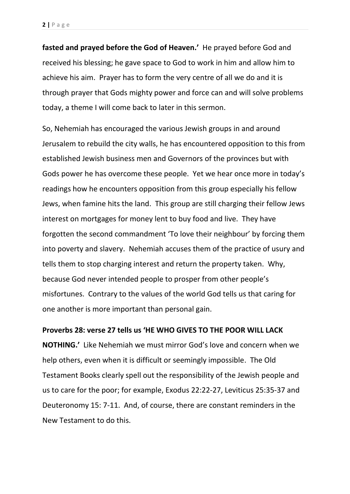**fasted and prayed before the God of Heaven.'** He prayed before God and received his blessing; he gave space to God to work in him and allow him to achieve his aim. Prayer has to form the very centre of all we do and it is through prayer that Gods mighty power and force can and will solve problems today, a theme I will come back to later in this sermon.

So, Nehemiah has encouraged the various Jewish groups in and around Jerusalem to rebuild the city walls, he has encountered opposition to this from established Jewish business men and Governors of the provinces but with Gods power he has overcome these people. Yet we hear once more in today's readings how he encounters opposition from this group especially his fellow Jews, when famine hits the land. This group are still charging their fellow Jews interest on mortgages for money lent to buy food and live. They have forgotten the second commandment 'To love their neighbour' by forcing them into poverty and slavery. Nehemiah accuses them of the practice of usury and tells them to stop charging interest and return the property taken. Why, because God never intended people to prosper from other people's misfortunes. Contrary to the values of the world God tells us that caring for one another is more important than personal gain.

## **Proverbs 28: verse 27 tells us 'HE WHO GIVES TO THE POOR WILL LACK**

**NOTHING.'** Like Nehemiah we must mirror God's love and concern when we help others, even when it is difficult or seemingly impossible. The Old Testament Books clearly spell out the responsibility of the Jewish people and us to care for the poor; for example, Exodus 22:22-27, Leviticus 25:35-37 and Deuteronomy 15: 7-11. And, of course, there are constant reminders in the New Testament to do this.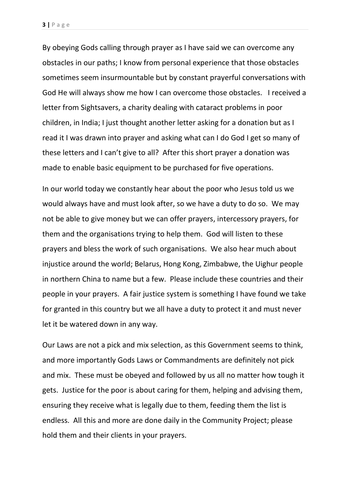By obeying Gods calling through prayer as I have said we can overcome any obstacles in our paths; I know from personal experience that those obstacles sometimes seem insurmountable but by constant prayerful conversations with God He will always show me how I can overcome those obstacles. I received a letter from Sightsavers, a charity dealing with cataract problems in poor children, in India; I just thought another letter asking for a donation but as I read it I was drawn into prayer and asking what can I do God I get so many of these letters and I can't give to all? After this short prayer a donation was made to enable basic equipment to be purchased for five operations.

In our world today we constantly hear about the poor who Jesus told us we would always have and must look after, so we have a duty to do so. We may not be able to give money but we can offer prayers, intercessory prayers, for them and the organisations trying to help them. God will listen to these prayers and bless the work of such organisations. We also hear much about injustice around the world; Belarus, Hong Kong, Zimbabwe, the Uighur people in northern China to name but a few. Please include these countries and their people in your prayers. A fair justice system is something I have found we take for granted in this country but we all have a duty to protect it and must never let it be watered down in any way.

Our Laws are not a pick and mix selection, as this Government seems to think, and more importantly Gods Laws or Commandments are definitely not pick and mix. These must be obeyed and followed by us all no matter how tough it gets. Justice for the poor is about caring for them, helping and advising them, ensuring they receive what is legally due to them, feeding them the list is endless. All this and more are done daily in the Community Project; please hold them and their clients in your prayers.